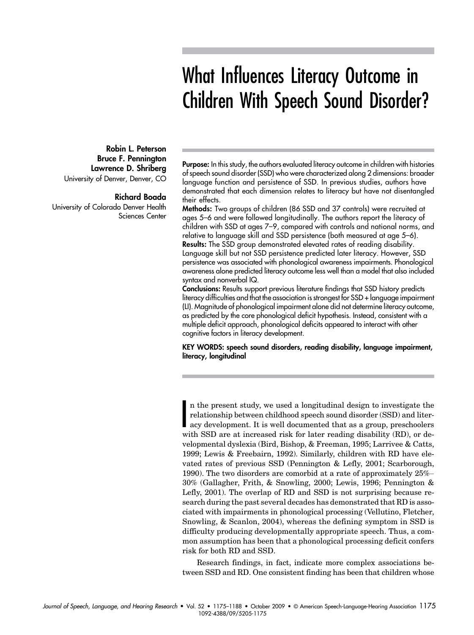# What Influences Literacy Outcome in Children With Speech Sound Disorder?

Robin L. Peterson Bruce F. Pennington Lawrence D. Shriberg University of Denver, Denver, CO

#### Richard Boada

University of Colorado Denver Health Sciences Center Purpose: In this study, the authors evaluated literacy outcome in children with histories of speech sound disorder (SSD) who were characterized along 2 dimensions: broader language function and persistence of SSD. In previous studies, authors have demonstrated that each dimension relates to literacy but have not disentangled their effects.

Methods: Two groups of children (86 SSD and 37 controls) were recruited at ages 5–6 and were followed longitudinally. The authors report the literacy of children with SSD at ages 7–9, compared with controls and national norms, and relative to language skill and SSD persistence (both measured at age 5–6). Results: The SSD group demonstrated elevated rates of reading disability. Language skill but not SSD persistence predicted later literacy. However, SSD persistence was associated with phonological awareness impairments. Phonological awareness alone predicted literacy outcome less well than a model that also included syntax and nonverbal IQ.

Conclusions: Results support previous literature findings that SSD history predicts literacy difficulties and that the association is strongest for SSD + language impairment (LI). Magnitude of phonological impairment alone did not determine literacy outcome, as predicted by the core phonological deficit hypothesis. Instead, consistent with a multiple deficit approach, phonological deficits appeared to interact with other cognitive factors in literacy development.

KEY WORDS: speech sound disorders, reading disability, language impairment, literacy, longitudinal

n the present study, we used a longitudinal design to investigate the relationship between childhood speech sound disorder (SSD) and literacy development. It is well documented that as a group, preschoolers with SSD are at n the present study, we used a longitudinal design to investigate the relationship between childhood speech sound disorder (SSD) and literacy development. It is well documented that as a group, preschoolers velopmental dyslexia (Bird, Bishop, & Freeman, 1995; Larrivee & Catts, 1999; Lewis & Freebairn, 1992). Similarly, children with RD have elevated rates of previous SSD (Pennington & Lefly, 2001; Scarborough, 1990). The two disorders are comorbid at a rate of approximately 25%– 30% (Gallagher, Frith, & Snowling, 2000; Lewis, 1996; Pennington & Lefly, 2001). The overlap of RD and SSD is not surprising because research during the past several decades has demonstrated that RD is associated with impairments in phonological processing (Vellutino, Fletcher, Snowling, & Scanlon, 2004), whereas the defining symptom in SSD is difficulty producing developmentally appropriate speech. Thus, a common assumption has been that a phonological processing deficit confers risk for both RD and SSD.

Research findings, in fact, indicate more complex associations between SSD and RD. One consistent finding has been that children whose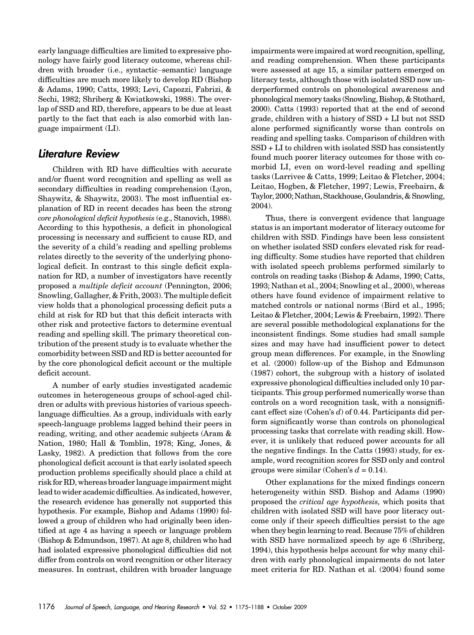early language difficulties are limited to expressive phonology have fairly good literacy outcome, whereas children with broader (i.e., syntactic–semantic) language difficulties are much more likely to develop RD (Bishop & Adams, 1990; Catts, 1993; Levi, Capozzi, Fabrizi, & Sechi, 1982; Shriberg & Kwiatkowski, 1988). The overlap of SSD and RD, therefore, appears to be due at least partly to the fact that each is also comorbid with language impairment (LI).

#### Literature Review

Children with RD have difficulties with accurate and/or fluent word recognition and spelling as well as secondary difficulties in reading comprehension (Lyon, Shaywitz, & Shaywitz, 2003). The most influential explanation of RD in recent decades has been the strong core phonological deficit hypothesis (e.g., Stanovich, 1988). According to this hypothesis, a deficit in phonological processing is necessary and sufficient to cause RD, and the severity of a child's reading and spelling problems relates directly to the severity of the underlying phonological deficit. In contrast to this single deficit explanation for RD, a number of investigators have recently proposed a multiple deficit account (Pennington, 2006; Snowling, Gallagher, & Frith, 2003). The multiple deficit view holds that a phonological processing deficit puts a child at risk for RD but that this deficit interacts with other risk and protective factors to determine eventual reading and spelling skill. The primary theoretical contribution of the present study is to evaluate whether the comorbidity between SSD and RD is better accounted for by the core phonological deficit account or the multiple deficit account.

A number of early studies investigated academic outcomes in heterogeneous groups of school-aged children or adults with previous histories of various speechlanguage difficulties. As a group, individuals with early speech-language problems lagged behind their peers in reading, writing, and other academic subjects (Aram & Nation, 1980; Hall & Tomblin, 1978; King, Jones, & Lasky, 1982). A prediction that follows from the core phonological deficit account is that early isolated speech production problems specifically should place a child at risk for RD, whereas broader language impairment might lead to wider academic difficulties. As indicated, however, the research evidence has generally not supported this hypothesis. For example, Bishop and Adams (1990) followed a group of children who had originally been identified at age 4 as having a speech or language problem (Bishop & Edmundson, 1987). At age 8, children who had had isolated expressive phonological difficulties did not differ from controls on word recognition or other literacy measures. In contrast, children with broader language impairments were impaired at word recognition, spelling, and reading comprehension. When these participants were assessed at age 15, a similar pattern emerged on literacy tests, although those with isolated SSD now underperformed controls on phonological awareness and phonological memory tasks (Snowling, Bishop, & Stothard, 2000). Catts (1993) reported that at the end of second grade, children with a history of SSD + LI but not SSD alone performed significantly worse than controls on reading and spelling tasks. Comparison of children with SSD + LI to children with isolated SSD has consistently found much poorer literacy outcomes for those with comorbid LI, even on word-level reading and spelling tasks (Larrivee & Catts, 1999; Leitao & Fletcher, 2004; Leitao, Hogben, & Fletcher, 1997; Lewis, Freebairn, & Taylor, 2000; Nathan, Stackhouse, Goulandris, & Snowling, 2004).

Thus, there is convergent evidence that language status is an important moderator of literacy outcome for children with SSD. Findings have been less consistent on whether isolated SSD confers elevated risk for reading difficulty. Some studies have reported that children with isolated speech problems performed similarly to controls on reading tasks (Bishop & Adams, 1990; Catts, 1993; Nathan et al., 2004; Snowling et al., 2000), whereas others have found evidence of impairment relative to matched controls or national norms (Bird et al., 1995; Leitao & Fletcher, 2004; Lewis & Freebairn, 1992). There are several possible methodological explanations for the inconsistent findings. Some studies had small sample sizes and may have had insufficient power to detect group mean differences. For example, in the Snowling et al. (2000) follow-up of the Bishop and Edmunson (1987) cohort, the subgroup with a history of isolated expressive phonological difficulties included only 10 participants. This group performed numerically worse than controls on a word recognition task, with a nonsignificant effect size (Cohen's  $d$ ) of 0.44. Participants did perform significantly worse than controls on phonological processing tasks that correlate with reading skill. However, it is unlikely that reduced power accounts for all the negative findings. In the Catts (1993) study, for example, word recognition scores for SSD only and control groups were similar (Cohen's  $d = 0.14$ ).

Other explanations for the mixed findings concern heterogeneity within SSD. Bishop and Adams (1990) proposed the critical age hypothesis, which posits that children with isolated SSD will have poor literacy outcome only if their speech difficulties persist to the age when they begin learning to read. Because 75% of children with SSD have normalized speech by age 6 (Shriberg, 1994), this hypothesis helps account for why many children with early phonological impairments do not later meet criteria for RD. Nathan et al. (2004) found some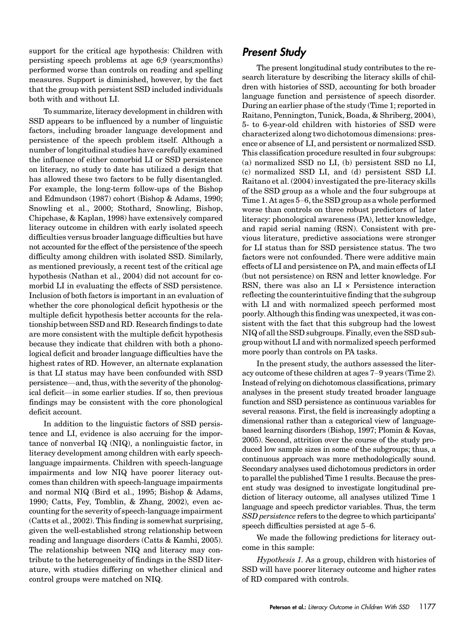support for the critical age hypothesis: Children with persisting speech problems at age 6;9 (years;months) performed worse than controls on reading and spelling measures. Support is diminished, however, by the fact that the group with persistent SSD included individuals both with and without LI.

To summarize, literacy development in children with SSD appears to be influenced by a number of linguistic factors, including broader language development and persistence of the speech problem itself. Although a number of longitudinal studies have carefully examined the influence of either comorbid LI or SSD persistence on literacy, no study to date has utilized a design that has allowed these two factors to be fully disentangled. For example, the long-term follow-ups of the Bishop and Edmundson (1987) cohort (Bishop & Adams, 1990; Snowling et al., 2000; Stothard, Snowling, Bishop, Chipchase, & Kaplan, 1998) have extensively compared literacy outcome in children with early isolated speech difficulties versus broader language difficulties but have not accounted for the effect of the persistence of the speech difficulty among children with isolated SSD. Similarly, as mentioned previously, a recent test of the critical age hypothesis (Nathan et al., 2004) did not account for comorbid LI in evaluating the effects of SSD persistence. Inclusion of both factors is important in an evaluation of whether the core phonological deficit hypothesis or the multiple deficit hypothesis better accounts for the relationship between SSD and RD. Research findings to date are more consistent with the multiple deficit hypothesis because they indicate that children with both a phonological deficit and broader language difficulties have the highest rates of RD. However, an alternate explanation is that LI status may have been confounded with SSD persistence—and, thus, with the severity of the phonological deficit—in some earlier studies. If so, then previous findings may be consistent with the core phonological deficit account.

In addition to the linguistic factors of SSD persistence and LI, evidence is also accruing for the importance of nonverbal IQ (NIQ), a nonlinguistic factor, in literacy development among children with early speechlanguage impairments. Children with speech-language impairments and low NIQ have poorer literacy outcomes than children with speech-language impairments and normal NIQ (Bird et al., 1995; Bishop & Adams, 1990; Catts, Fey, Tomblin, & Zhang, 2002), even accounting for the severity of speech-language impairment (Catts et al., 2002). This finding is somewhat surprising, given the well-established strong relationship between reading and language disorders (Catts & Kamhi, 2005). The relationship between NIQ and literacy may contribute to the heterogeneity of findings in the SSD literature, with studies differing on whether clinical and control groups were matched on NIQ.

## Present Study

The present longitudinal study contributes to the research literature by describing the literacy skills of children with histories of SSD, accounting for both broader language function and persistence of speech disorder. During an earlier phase of the study (Time 1; reported in Raitano, Pennington, Tunick, Boada, & Shriberg, 2004), 5- to 6-year-old children with histories of SSD were characterized along two dichotomous dimensions: presence or absence of LI, and persistent or normalized SSD. This classification procedure resulted in four subgroups: (a) normalized SSD no LI, (b) persistent SSD no LI, (c) normalized SSD LI, and (d) persistent SSD LI. Raitano et al. (2004) investigated the pre-literacy skills of the SSD group as a whole and the four subgroups at Time 1. At ages 5–6, the SSD group as a whole performed worse than controls on three robust predictors of later literacy: phonological awareness (PA), letter knowledge, and rapid serial naming (RSN). Consistent with previous literature, predictive associations were stronger for LI status than for SSD persistence status. The two factors were not confounded. There were additive main effects of LI and persistence on PA, and main effects of LI (but not persistence) on RSN and letter knowledge. For RSN, there was also an  $LI \times$  Persistence interaction reflecting the counterintuitive finding that the subgroup with LI and with normalized speech performed most poorly. Although this finding was unexpected, it was consistent with the fact that this subgroup had the lowest NIQ of all the SSD subgroups. Finally, even the SSD subgroup without LI and with normalized speech performed more poorly than controls on PA tasks.

In the present study, the authors assessed the literacy outcome of these children at ages 7–9 years (Time 2). Instead of relying on dichotomous classifications, primary analyses in the present study treated broader language function and SSD persistence as continuous variables for several reasons. First, the field is increasingly adopting a dimensional rather than a categorical view of languagebased learning disorders (Bishop, 1997; Plomin & Kovas, 2005). Second, attrition over the course of the study produced low sample sizes in some of the subgroups; thus, a continuous approach was more methodologically sound. Secondary analyses used dichotomous predictors in order to parallel the published Time 1 results. Because the present study was designed to investigate longitudinal prediction of literacy outcome, all analyses utilized Time 1 language and speech predictor variables. Thus, the term SSD persistence refers to the degree to which participants' speech difficulties persisted at age 5–6.

We made the following predictions for literacy outcome in this sample:

Hypothesis 1. As a group, children with histories of SSD will have poorer literacy outcome and higher rates of RD compared with controls.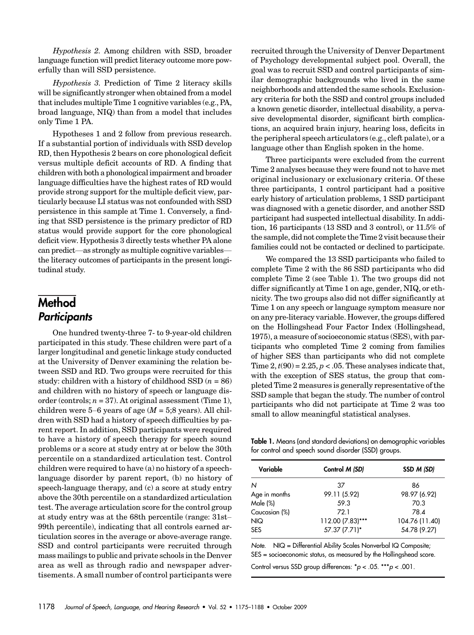Hypothesis 2. Among children with SSD, broader language function will predict literacy outcome more powerfully than will SSD persistence.

Hypothesis 3. Prediction of Time 2 literacy skills will be significantly stronger when obtained from a model that includes multiple Time 1 cognitive variables (e.g., PA, broad language, NIQ) than from a model that includes only Time 1 PA.

Hypotheses 1 and 2 follow from previous research. If a substantial portion of individuals with SSD develop RD, then Hypothesis 2 bears on core phonological deficit versus multiple deficit accounts of RD. A finding that children with both a phonological impairment and broader language difficulties have the highest rates of RD would provide strong support for the multiple deficit view, particularly because LI status was not confounded with SSD persistence in this sample at Time 1. Conversely, a finding that SSD persistence is the primary predictor of RD status would provide support for the core phonological deficit view. Hypothesis 3 directly tests whether PA alone can predict—as strongly as multiple cognitive variables the literacy outcomes of participants in the present longitudinal study.

# **Method Participants**

One hundred twenty-three 7- to 9-year-old children participated in this study. These children were part of a larger longitudinal and genetic linkage study conducted at the University of Denver examining the relation between SSD and RD. Two groups were recruited for this study: children with a history of childhood SSD  $(n = 86)$ and children with no history of speech or language disorder (controls;  $n = 37$ ). At original assessment (Time 1), children were 5–6 years of age  $(M = 5; 8$  years). All children with SSD had a history of speech difficulties by parent report. In addition, SSD participants were required to have a history of speech therapy for speech sound problems or a score at study entry at or below the 30th percentile on a standardized articulation test. Control children were required to have (a) no history of a speechlanguage disorder by parent report, (b) no history of speech-language therapy, and (c) a score at study entry above the 30th percentile on a standardized articulation test. The average articulation score for the control group at study entry was at the 68th percentile (range: 31st– 99th percentile), indicating that all controls earned articulation scores in the average or above-average range. SSD and control participants were recruited through mass mailings to public and private schools in the Denver area as well as through radio and newspaper advertisements. A small number of control participants were

recruited through the University of Denver Department of Psychology developmental subject pool. Overall, the goal was to recruit SSD and control participants of similar demographic backgrounds who lived in the same neighborhoods and attended the same schools. Exclusionary criteria for both the SSD and control groups included a known genetic disorder, intellectual disability, a pervasive developmental disorder, significant birth complications, an acquired brain injury, hearing loss, deficits in the peripheral speech articulators (e.g., cleft palate), or a language other than English spoken in the home.

Three participants were excluded from the current Time 2 analyses because they were found not to have met original inclusionary or exclusionary criteria. Of these three participants, 1 control participant had a positive early history of articulation problems, 1 SSD participant was diagnosed with a genetic disorder, and another SSD participant had suspected intellectual disability. In addition, 16 participants (13 SSD and 3 control), or 11.5% of the sample, did not complete the Time 2 visit because their families could not be contacted or declined to participate.

We compared the 13 SSD participants who failed to complete Time 2 with the 86 SSD participants who did complete Time 2 (see Table 1). The two groups did not differ significantly at Time 1 on age, gender, NIQ, or ethnicity. The two groups also did not differ significantly at Time 1 on any speech or language symptom measure nor on any pre-literacy variable. However, the groups differed on the Hollingshead Four Factor Index (Hollingshead, 1975), a measure of socioeconomic status (SES), with participants who completed Time 2 coming from families of higher SES than participants who did not complete Time 2,  $t(90) = 2.25$ ,  $p < .05$ . These analyses indicate that, with the exception of SES status, the group that completed Time 2 measures is generally representative of the SSD sample that began the study. The number of control participants who did not participate at Time 2 was too small to allow meaningful statistical analyses.

Table 1. Means (and standard deviations) on demographic variables for control and speech sound disorder (SSD) groups.

| Variable      | Control M (SD)   | SSD M (SD)     |
|---------------|------------------|----------------|
| N             | 37               | 86             |
| Age in months | 99.11 (5.92)     | 98.97 (6.92)   |
| Male (%)      | 59.3             | 70.3           |
| Caucasian (%) | 72.1             | 784            |
| <b>NIQ</b>    | 112.00 (7.83)*** | 104.76 (11.40) |
| <b>SES</b>    | 57.37 (7.71)*    | 54.78 (9.27)   |

Note. NIQ = Differential Ability Scales Nonverbal IQ Composite; SES = socioeconomic status, as measured by the Hollingshead score. Control versus SSD group differences: \* $p < .05$ . \*\*\* $p < .001$ .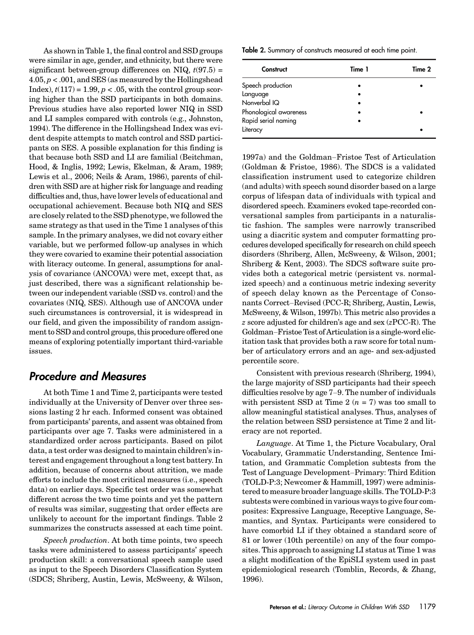As shown in Table 1, the final control and SSD groups were similar in age, gender, and ethnicity, but there were significant between-group differences on NIQ,  $t(97.5)$  =  $4.05, p < .001$ , and SES (as measured by the Hollingshead Index),  $t(117) = 1.99$ ,  $p < .05$ , with the control group scoring higher than the SSD participants in both domains. Previous studies have also reported lower NIQ in SSD and LI samples compared with controls (e.g., Johnston, 1994). The difference in the Hollingshead Index was evident despite attempts to match control and SSD participants on SES. A possible explanation for this finding is that because both SSD and LI are familial (Beitchman, Hood, & Inglis, 1992; Lewis, Ekelman, & Aram, 1989; Lewis et al., 2006; Neils & Aram, 1986), parents of children with SSD are at higher risk for language and reading difficulties and, thus, have lower levels of educational and occupational achievement. Because both NIQ and SES are closely related to the SSD phenotype, we followed the same strategy as that used in the Time 1 analyses of this sample. In the primary analyses, we did not covary either variable, but we performed follow-up analyses in which they were covaried to examine their potential association with literacy outcome. In general, assumptions for analysis of covariance (ANCOVA) were met, except that, as just described, there was a significant relationship between our independent variable (SSD vs. control) and the covariates (NIQ, SES). Although use of ANCOVA under such circumstances is controversial, it is widespread in our field, and given the impossibility of random assignment to SSD and control groups, this procedure offered one means of exploring potentially important third-variable issues.

#### Procedure and Measures

At both Time 1 and Time 2, participants were tested individually at the University of Denver over three sessions lasting 2 hr each. Informed consent was obtained from participants' parents, and assent was obtained from participants over age 7. Tasks were administered in a standardized order across participants. Based on pilot data, a test order was designed to maintain children's interest and engagement throughout a long test battery. In addition, because of concerns about attrition, we made efforts to include the most critical measures (i.e., speech data) on earlier days. Specific test order was somewhat different across the two time points and yet the pattern of results was similar, suggesting that order effects are unlikely to account for the important findings. Table 2 summarizes the constructs assessed at each time point.

Speech production. At both time points, two speech tasks were administered to assess participants' speech production skill: a conversational speech sample used as input to the Speech Disorders Classification System (SDCS; Shriberg, Austin, Lewis, McSweeny, & Wilson, Table 2. Summary of constructs measured at each time point.

| Construct              | Time 1 | Time 2 |
|------------------------|--------|--------|
| Speech production      |        |        |
| Language               |        |        |
| Nonverbal IQ           |        |        |
| Phonological awareness |        |        |
| Rapid serial naming    |        |        |
| Literacy               |        |        |

1997a) and the Goldman–Fristoe Test of Articulation (Goldman & Fristoe, 1986). The SDCS is a validated classification instrument used to categorize children (and adults) with speech sound disorder based on a large corpus of lifespan data of individuals with typical and disordered speech. Examiners evoked tape-recorded conversational samples from participants in a naturalistic fashion. The samples were narrowly transcribed using a diacritic system and computer formatting procedures developed specifically for research on child speech disorders (Shriberg, Allen, McSweeny, & Wilson, 2001; Shriberg & Kent, 2003). The SDCS software suite provides both a categorical metric (persistent vs. normalized speech) and a continuous metric indexing severity of speech delay known as the Percentage of Consonants Correct–Revised (PCC-R; Shriberg, Austin, Lewis, McSweeny, & Wilson, 1997b). This metric also provides a  $z$  score adjusted for children's age and sex ( $z$ PCC-R). The Goldman–Fristoe Test of Articulation is a single-word elicitation task that provides both a raw score for total number of articulatory errors and an age- and sex-adjusted percentile score.

Consistent with previous research (Shriberg, 1994), the large majority of SSD participants had their speech difficulties resolve by age 7–9. The number of individuals with persistent SSD at Time 2  $(n = 7)$  was too small to allow meaningful statistical analyses. Thus, analyses of the relation between SSD persistence at Time 2 and literacy are not reported.

Language. At Time 1, the Picture Vocabulary, Oral Vocabulary, Grammatic Understanding, Sentence Imitation, and Grammatic Completion subtests from the Test of Language Development–Primary: Third Edition (TOLD-P:3; Newcomer & Hammill, 1997) were administered to measure broader language skills. The TOLD-P:3 subtests were combined in various ways to give four composites: Expressive Language, Receptive Language, Semantics, and Syntax. Participants were considered to have comorbid LI if they obtained a standard score of 81 or lower (10th percentile) on any of the four composites. This approach to assigning LI status at Time 1 was a slight modification of the EpiSLI system used in past epidemiological research (Tomblin, Records, & Zhang, 1996).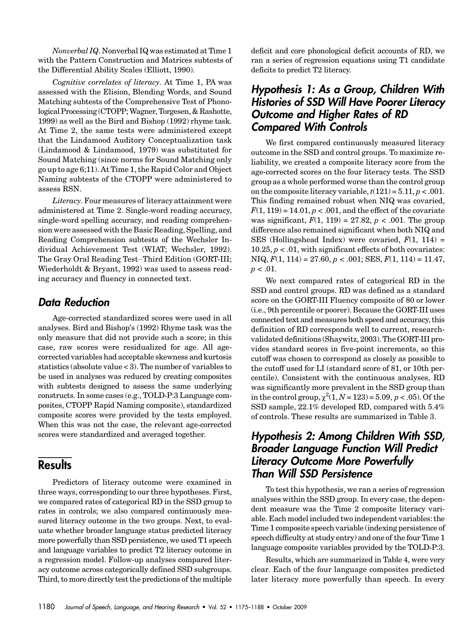Nonverbal IQ. Nonverbal IQ was estimated at Time 1 with the Pattern Construction and Matrices subtests of the Differential Ability Scales (Elliott, 1990).

Cognitive correlates of literacy. At Time 1, PA was assessed with the Elision, Blending Words, and Sound Matching subtests of the Comprehensive Test of Phonological Processing (CTOPP;Wagner, Torgesen, & Rashotte, 1999) as well as the Bird and Bishop (1992) rhyme task. At Time 2, the same tests were administered except that the Lindamood Auditory Conceptualization task (Lindamood & Lindamood, 1979) was substituted for Sound Matching (since norms for Sound Matching only go up to age 6;11). At Time 1, the Rapid Color and Object Naming subtests of the CTOPP were administered to assess RSN.

Literacy. Four measures of literacy attainment were administered at Time 2. Single-word reading accuracy, single-word spelling accuracy, and reading comprehension were assessed with the Basic Reading, Spelling, and Reading Comprehension subtests of the Wechsler Individual Achievement Test (WIAT; Wechsler, 1992). The Gray Oral Reading Test–Third Edition (GORT-III; Wiederholdt & Bryant, 1992) was used to assess reading accuracy and fluency in connected text.

#### Data Reduction

Age-corrected standardized scores were used in all analyses. Bird and Bishop's (1992) Rhyme task was the only measure that did not provide such a score; in this case, raw scores were residualized for age. All agecorrected variables had acceptable skewness and kurtosis statistics (absolute value < 3). The number of variables to be used in analyses was reduced by creating composites with subtests designed to assess the same underlying constructs. In some cases (e.g., TOLD-P:3 Language composites, CTOPP Rapid Naming composite), standardized composite scores were provided by the tests employed. When this was not the case, the relevant age-corrected scores were standardized and averaged together.

# **Results**

Predictors of literacy outcome were examined in three ways, corresponding to our three hypotheses. First, we compared rates of categorical RD in the SSD group to rates in controls; we also compared continuously measured literacy outcome in the two groups. Next, to evaluate whether broader language status predicted literacy more powerfully than SSD persistence, we used T1 speech and language variables to predict T2 literacy outcome in a regression model. Follow-up analyses compared literacy outcome across categorically defined SSD subgroups. Third, to more directly test the predictions of the multiple deficit and core phonological deficit accounts of RD, we ran a series of regression equations using T1 candidate deficits to predict T2 literacy.

## Hypothesis 1: As a Group, Children With Histories of SSD Will Have Poorer Literacy Outcome and Higher Rates of RD Compared With Controls

We first compared continuously measured literacy outcome in the SSD and control groups. To maximize reliability, we created a composite literacy score from the age-corrected scores on the four literacy tests. The SSD group as a whole performed worse than the control group on the composite literacy variable,  $t(121) = 5.11, p < .001$ . This finding remained robust when NIQ was covaried,  $F(1, 119) = 14.01, p < .001$ , and the effect of the covariate was significant,  $F(1, 119) = 27.82$ ,  $p < .001$ . The group difference also remained significant when both NIQ and SES (Hollingshead Index) were covaried,  $F(1, 114) =$  $10.25, p < 0.01$ , with significant effects of both covariates:  $NIQ, F(1, 114) = 27.60, p < .001; SES, F(1, 114) = 11.47,$  $p < .01$ .

We next compared rates of categorical RD in the SSD and control groups. RD was defined as a standard score on the GORT-III Fluency composite of 80 or lower (i.e., 9th percentile or poorer). Because the GORT-III uses connected text and measures both speed and accuracy, this definition of RD corresponds well to current, researchvalidated definitions (Shaywitz, 2003). The GORT-III provides standard scores in five-point increments, so this cutoff was chosen to correspond as closely as possible to the cutoff used for LI (standard score of 81, or 10th percentile). Consistent with the continuous analyses, RD was significantly more prevalent in the SSD group than in the control group,  $\chi^2(1, N = 123) = 5.09$ ,  $p < .05$ ). Of the SSD sample, 22.1% developed RD, compared with 5.4% of controls. These results are summarized in Table 3.

### Hypothesis 2: Among Children With SSD, Broader Language Function Will Predict Literacy Outcome More Powerfully Than Will SSD Persistence

To test this hypothesis, we ran a series of regression analyses within the SSD group. In every case, the dependent measure was the Time 2 composite literacy variable. Each model included two independent variables: the Time 1 composite speech variable (indexing persistence of speech difficulty at study entry) and one of the four Time 1 language composite variables provided by the TOLD-P:3.

Results, which are summarized in Table 4, were very clear. Each of the four language composites predicted later literacy more powerfully than speech. In every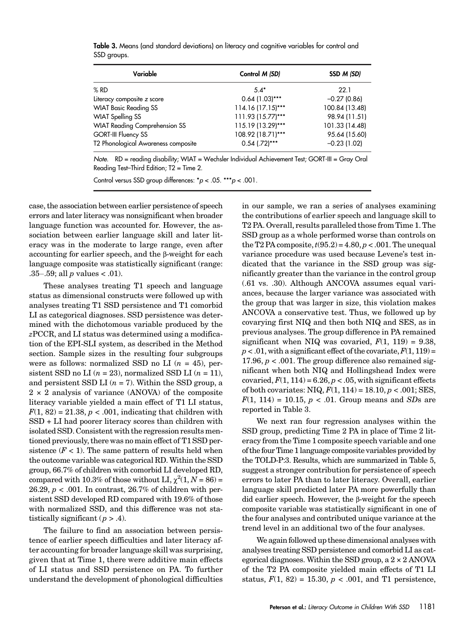| Variable                             | Control M (SD)    | SSD M (SD)     |
|--------------------------------------|-------------------|----------------|
| % RD                                 | $5.4*$            | 22.1           |
| Literacy composite z score           | $0.64(1.03)***$   | $-0.27(0.86)$  |
| <b>WIAT Basic Reading SS</b>         | 114.16 (17.15)*** | 100.84 (13.48) |
| <b>WIAT Spelling SS</b>              | 111.93 (15.77)*** | 98.94 (11.51)  |
| <b>WIAT Reading Comprehension SS</b> | 115.19 (13.29)*** | 101.33 (14.48) |
| <b>GORT-III Fluency SS</b>           | 108.92 (18.71)*** | 95.64 (15.60)  |
| T2 Phonological Awareness composite  | $0.54$ (.72)***   | $-0.23(1.02)$  |

Table 3. Means (and standard deviations) on literacy and cognitive variables for control and SSD groups.

Note. RD = reading disability; WIAT = Wechsler Individual Achievement Test; GORT-III = Gray Oral Reading Test–Third Edition; T2 = Time 2.

Control versus SSD group differences:  $p < .05$ . \*\*\* $p < .001$ .

case, the association between earlier persistence of speech errors and later literacy was nonsignificant when broader language function was accounted for. However, the association between earlier language skill and later literacy was in the moderate to large range, even after accounting for earlier speech, and the  $\beta$ -weight for each language composite was statistically significant (range: .35–.59; all *p* values < .01).

These analyses treating T1 speech and language status as dimensional constructs were followed up with analyses treating T1 SSD persistence and T1 comorbid LI as categorical diagnoses. SSD persistence was determined with the dichotomous variable produced by the  $z$ PCCR, and LI status was determined using a modification of the EPI-SLI system, as described in the Method section. Sample sizes in the resulting four subgroups were as follows: normalized SSD no LI  $(n = 45)$ , persistent SSD no LI ( $n = 23$ ), normalized SSD LI ( $n = 11$ ), and persistent SSD LI  $(n = 7)$ . Within the SSD group, a  $2 \times 2$  analysis of variance (ANOVA) of the composite literacy variable yielded a main effect of T1 LI status,  $F(1, 82) = 21.38$ ,  $p < .001$ , indicating that children with SSD + LI had poorer literacy scores than children with isolated SSD. Consistent with the regression results mentioned previously, there was no main effect of T1 SSD persistence  $(F < 1)$ . The same pattern of results held when the outcome variable was categorical RD. Within the SSD group, 66.7% of children with comorbid LI developed RD, compared with 10.3% of those without LI,  $\chi^2(1, N = 86)$  = 26.29,  $p < .001$ . In contrast, 26.7% of children with persistent SSD developed RD compared with 19.6% of those with normalized SSD, and this difference was not statistically significant  $(p > .4)$ .

The failure to find an association between persistence of earlier speech difficulties and later literacy after accounting for broader language skill was surprising, given that at Time 1, there were additive main effects of LI status and SSD persistence on PA. To further understand the development of phonological difficulties in our sample, we ran a series of analyses examining the contributions of earlier speech and language skill to T2 PA. Overall, results paralleled those from Time 1. The SSD group as a whole performed worse than controls on the T2 PA composite,  $t(95.2) = 4.80, p < .001$ . The unequal variance procedure was used because Levene's test indicated that the variance in the SSD group was significantly greater than the variance in the control group (.61 vs. .30). Although ANCOVA assumes equal variances, because the larger variance was associated with the group that was larger in size, this violation makes ANCOVA a conservative test. Thus, we followed up by covarying first NIQ and then both NIQ and SES, as in previous analyses. The group difference in PA remained significant when NIQ was covaried,  $F(1, 119) = 9.38$ ,  $p < .01$ , with a significant effect of the covariate,  $F(1, 119) =$ 17.96,  $p < 0.001$ . The group difference also remained significant when both NIQ and Hollingshead Index were covaried,  $F(1, 114) = 6.26$ ,  $p < .05$ , with significant effects of both covariates: NIQ,  $F(1, 114) = 18.10, p < .001$ ; SES,  $F(1, 114) = 10.15, p < .01$ . Group means and SDs are reported in Table 3.

We next ran four regression analyses within the SSD group, predicting Time 2 PA in place of Time 2 literacy from the Time 1 composite speech variable and one of the four Time 1 language composite variables provided by the TOLD-P:3. Results, which are summarized in Table 5, suggest a stronger contribution for persistence of speech errors to later PA than to later literacy. Overall, earlier language skill predicted later PA more powerfully than did earlier speech. However, the  $\beta$ -weight for the speech composite variable was statistically significant in one of the four analyses and contributed unique variance at the trend level in an additional two of the four analyses.

We again followed up these dimensional analyses with analyses treating SSD persistence and comorbid LI as categorical diagnoses. Within the SSD group, a  $2 \times 2$  ANOVA of the T2 PA composite yielded main effects of T1 LI status,  $F(1, 82) = 15.30, p < .001$ , and T1 persistence,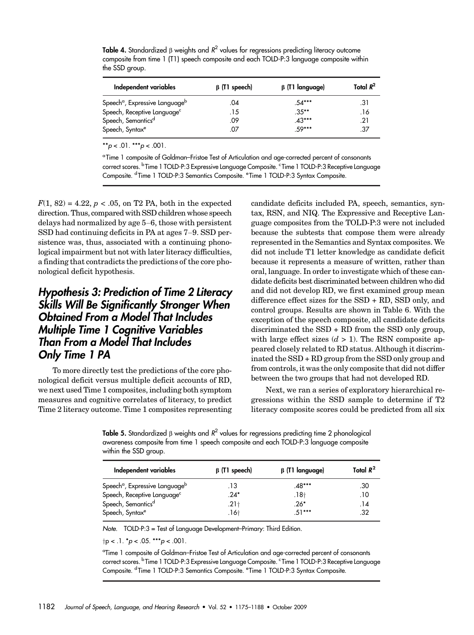Table 4. Standardized  $\beta$  weights and  $R^2$  values for regressions predicting literacy outcome composite from time 1 (T1) speech composite and each TOLD-P:3 language composite within the SSD group.

| Independent variables                                  | $\beta$ (T1 speech) | $\beta$ (T1 language) | Total $R^2$ |
|--------------------------------------------------------|---------------------|-----------------------|-------------|
| Speech <sup>a</sup> , Expressive Language <sup>b</sup> | .04                 | $.54***$              | .31         |
| Speech, Receptive Language <sup>c</sup>                | .15                 | $.35***$              | .16         |
| Speech, Semantics <sup>d</sup>                         | .09                 | $.43***$              | .21         |
| Speech, Syntax <sup>e</sup>                            | .07                 | 59***                 | .37         |

 $*^{*}p$  < .01.  $*^{**}p$  < .001.

<sup>a</sup> Time 1 composite of Goldman–Fristoe Test of Articulation and age-corrected percent of consonants correct scores. <sup>b</sup>Time 1 TOLD-P:3 Expressive Language Composite. <sup>c</sup>Time 1 TOLD-P:3 Receptive Language Composite. <sup>d</sup> Time 1 TOLD-P:3 Semantics Composite. <sup>e</sup> Time 1 TOLD-P:3 Syntax Composite.

 $F(1, 82) = 4.22, p < .05$ , on T2 PA, both in the expected direction. Thus, compared with SSD children whose speech delays had normalized by age 5–6, those with persistent SSD had continuing deficits in PA at ages 7–9. SSD persistence was, thus, associated with a continuing phonological impairment but not with later literacy difficulties, a finding that contradicts the predictions of the core phonological deficit hypothesis.

## Hypothesis 3: Prediction of Time 2 Literacy Skills Will Be Significantly Stronger When Obtained From a Model That Includes Multiple Time 1 Cognitive Variables Than From a Model That Includes Only Time 1 PA

To more directly test the predictions of the core phonological deficit versus multiple deficit accounts of RD, we next used Time 1 composites, including both symptom measures and cognitive correlates of literacy, to predict Time 2 literacy outcome. Time 1 composites representing candidate deficits included PA, speech, semantics, syntax, RSN, and NIQ. The Expressive and Receptive Language composites from the TOLD-P:3 were not included because the subtests that compose them were already represented in the Semantics and Syntax composites. We did not include T1 letter knowledge as candidate deficit because it represents a measure of written, rather than oral, language. In order to investigate which of these candidate deficits best discriminated between children who did and did not develop RD, we first examined group mean difference effect sizes for the  $SSD + RD$ , SSD only, and control groups. Results are shown in Table 6. With the exception of the speech composite, all candidate deficits discriminated the SSD + RD from the SSD only group, with large effect sizes  $(d > 1)$ . The RSN composite appeared closely related to RD status. Although it discriminated the SSD + RD group from the SSD only group and from controls, it was the only composite that did not differ between the two groups that had not developed RD.

Next, we ran a series of exploratory hierarchical regressions within the SSD sample to determine if T2 literacy composite scores could be predicted from all six

Table 5. Standardized  $\beta$  weights and  $R^2$  values for regressions predicting time 2 phonological awareness composite from time 1 speech composite and each TOLD-P:3 language composite within the SSD group.

| Independent variables                                  | $\beta$ (T1 speech) | $\beta$ (T1 language) | Total $R^2$ |
|--------------------------------------------------------|---------------------|-----------------------|-------------|
| Speech <sup>a</sup> , Expressive Language <sup>b</sup> | .13                 | $.48***$              | .30         |
| Speech, Receptive Language <sup>c</sup>                | $.24*$              | .18†                  | .10         |
| Speech, Semantics <sup>d</sup>                         | .21†                | $.26*$                | .14         |
| Speech, Syntax <sup>e</sup>                            | .16†                | $.51***$              | .32         |

Note. TOLD-P:3 = Test of Language Development–Primary: Third Edition.

 $\uparrow p < 0.1.$  \* $p < 0.05.$  \*\*\* $p < 0.001.$ 

<sup>a</sup>Time 1 composite of Goldman–Fristoe Test of Articulation and age-corrected percent of consonants correct scores. <sup>b</sup>Time 1 TOLD-P:3 Expressive Language Composite. <sup>c</sup>Time 1 TOLD-P:3 Receptive Language Composite. <sup>d</sup> Time 1 TOLD-P:3 Semantics Composite. <sup>e</sup> Time 1 TOLD-P:3 Syntax Composite.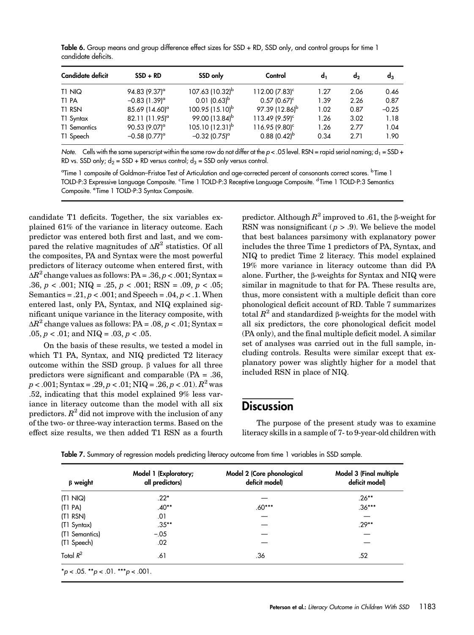Table 6. Group means and group difference effect sizes for SSD + RD, SSD only, and control groups for time 1 candidate deficits.

| <b>Candidate deficit</b> | $SSD + RD$                  | SSD only                                     | Control                    | d,   | d <sub>2</sub> | $d_3$   |
|--------------------------|-----------------------------|----------------------------------------------|----------------------------|------|----------------|---------|
| ti niq                   | 94.83 (9.37) <sup>a</sup>   | $107.63(10.32)^{b}$                          | 112.00 (7.83) <sup>c</sup> | 1.27 | 2.06           | 0.46    |
| T1 PA                    | $-0.83(1.39)$ <sup>a</sup>  | $0.01(0.63)^{b}$                             | $0.57(0.67)^c$             | 1.39 | 2.26           | 0.87    |
| <b>T1 RSN</b>            | 85.69 (14.60) <sup>a</sup>  | 100.95 (15.10) <sup>b</sup>                  | 97.39 (12.86) <sup>b</sup> | 1.02 | 0.87           | $-0.25$ |
| T1 Syntax                | 82.11(11.95)°               | 99.00 (13.84) <sup>b</sup>                   | 113.49 (9.59) <sup>c</sup> | 1.26 | 3.02           | 1.18    |
| <b>T1 Semantics</b>      | 90.53 (9.07) <sup>a</sup>   | $105.10(12.31)^{b}$                          | 116.95 (9.80) <sup>c</sup> | 1.26 | 2.77           | 1.04    |
| T1 Speech                | $-0.58$ (0.77) <sup>o</sup> | $-0.32$ (0.75) <sup><math>\circ</math></sup> | $0.88(0.42)^{b}$           | 0.34 | 2.71           | 1.90    |

Note. Cells with the same superscript within the same row do not differ at the  $p < .05$  level. RSN = rapid serial naming;  $d_1 = SSD +$ RD vs. SSD only;  $d_2 =$  SSD + RD versus control;  $d_3 =$  SSD only versus control.

<sup>a</sup>Time 1 composite of Goldman–Fristoe Test of Articulation and age-corrected percent of consonants correct scores. <sup>b</sup>Time 1 TOLD-P:3 Expressive Language Composite. <sup>c</sup>Time 1 TOLD-P:3 Receptive Language Composite. <sup>d</sup>Time 1 TOLD-P:3 Semantics Composite. <sup>e</sup>Time 1 TOLD-P:3 Syntax Composite.

candidate T1 deficits. Together, the six variables explained 61% of the variance in literacy outcome. Each predictor was entered both first and last, and we compared the relative magnitudes of  $\Delta R^2$  statistics. Of all the composites, PA and Syntax were the most powerful predictors of literacy outcome when entered first, with  $\Delta R^2$  change values as follows: PA = .36, p < .001; Syntax = .36,  $p < .001$ ; NIQ = .25,  $p < .001$ ; RSN = .09,  $p < .05$ ; Semantics = .21,  $p < .001$ ; and Speech = .04,  $p < .1$ . When entered last, only PA, Syntax, and NIQ explained significant unique variance in the literacy composite, with  $\Delta R^2$  change values as follows: PA = .08, p < .01; Syntax = .05,  $p < .01$ ; and NIQ = .03,  $p < .05$ .

On the basis of these results, we tested a model in which T1 PA, Syntax, and NIQ predicted T2 literacy outcome within the SSD group.  $\beta$  values for all three predictors were significant and comparable (PA = .36,  $p < .001$ ; Syntax = .29,  $p < .01$ ; NIQ = .26,  $p < .01$ ).  $R^2$  was .52, indicating that this model explained 9% less variance in literacy outcome than the model with all six predictors.  $R^2$  did not improve with the inclusion of any of the two- or three-way interaction terms. Based on the effect size results, we then added T1 RSN as a fourth

predictor. Although  $R^2$  improved to .61, the  $\beta$ -weight for RSN was nonsignificant ( $p > .9$ ). We believe the model that best balances parsimony with explanatory power includes the three Time 1 predictors of PA, Syntax, and NIQ to predict Time 2 literacy. This model explained 19% more variance in literacy outcome than did PA alone. Further, the  $\beta$ -weights for Syntax and NIQ were similar in magnitude to that for PA. These results are, thus, more consistent with a multiple deficit than core phonological deficit account of RD. Table 7 summarizes total  $R^2$  and standardized  $\beta$ -weights for the model with all six predictors, the core phonological deficit model (PA only), and the final multiple deficit model. A similar set of analyses was carried out in the full sample, including controls. Results were similar except that explanatory power was slightly higher for a model that included RSN in place of NIQ.

#### **Discussion**

The purpose of the present study was to examine literacy skills in a sample of 7- to 9-year-old children with

| $\beta$ weight                     | Model 1 (Exploratory;<br>all predictors) | Model 2 (Core phonological<br>deficit model) | <b>Model 3 (Final multiple</b><br>deficit model) |
|------------------------------------|------------------------------------------|----------------------------------------------|--------------------------------------------------|
| (T1 NIQ)                           | $.22*$                                   |                                              | $.26***$                                         |
| (T1 PA)                            | $.40**$                                  | $.60***$                                     | $.36***$                                         |
| (T1 RSN)                           | .01                                      |                                              |                                                  |
| (T1 Syntax)                        | $.35***$                                 |                                              | $.29**$                                          |
| (T1 Semantics)                     | $-.05$                                   |                                              |                                                  |
| (T1 Speech)                        | .02                                      |                                              |                                                  |
| Total $R^2$                        | .61                                      | .36                                          | .52                                              |
| $p < .05.$ **p < .01. ***p < .001. |                                          |                                              |                                                  |

Table 7. Summary of regression models predicting literacy outcome from time 1 variables in SSD sample.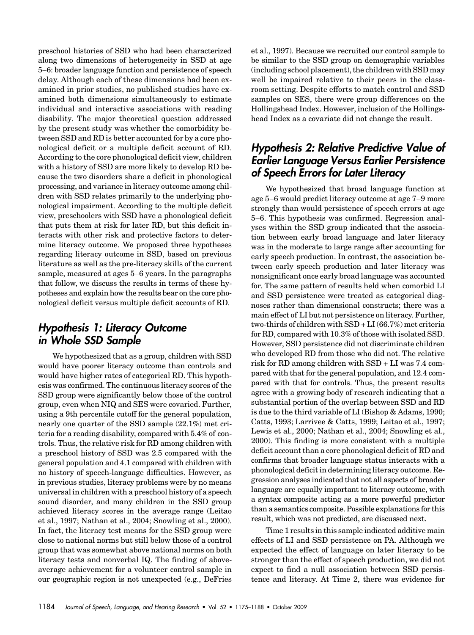preschool histories of SSD who had been characterized along two dimensions of heterogeneity in SSD at age 5–6: broader language function and persistence of speech delay. Although each of these dimensions had been examined in prior studies, no published studies have examined both dimensions simultaneously to estimate individual and interactive associations with reading disability. The major theoretical question addressed by the present study was whether the comorbidity between SSD and RD is better accounted for by a core phonological deficit or a multiple deficit account of RD. According to the core phonological deficit view, children with a history of SSD are more likely to develop RD because the two disorders share a deficit in phonological processing, and variance in literacy outcome among children with SSD relates primarily to the underlying phonological impairment. According to the multiple deficit view, preschoolers with SSD have a phonological deficit that puts them at risk for later RD, but this deficit interacts with other risk and protective factors to determine literacy outcome. We proposed three hypotheses regarding literacy outcome in SSD, based on previous literature as well as the pre-literacy skills of the current sample, measured at ages 5–6 years. In the paragraphs that follow, we discuss the results in terms of these hypotheses and explain how the results bear on the core phonological deficit versus multiple deficit accounts of RD.

## Hypothesis 1: Literacy Outcome in Whole SSD Sample

We hypothesized that as a group, children with SSD would have poorer literacy outcome than controls and would have higher rates of categorical RD. This hypothesis was confirmed. The continuous literacy scores of the SSD group were significantly below those of the control group, even when NIQ and SES were covaried. Further, using a 9th percentile cutoff for the general population, nearly one quarter of the SSD sample (22.1%) met criteria for a reading disability, compared with 5.4% of controls. Thus, the relative risk for RD among children with a preschool history of SSD was 2.5 compared with the general population and 4.1 compared with children with no history of speech-language difficulties. However, as in previous studies, literacy problems were by no means universal in children with a preschool history of a speech sound disorder, and many children in the SSD group achieved literacy scores in the average range (Leitao et al., 1997; Nathan et al., 2004; Snowling et al., 2000). In fact, the literacy test means for the SSD group were close to national norms but still below those of a control group that was somewhat above national norms on both literacy tests and nonverbal IQ. The finding of aboveaverage achievement for a volunteer control sample in our geographic region is not unexpected (e.g., DeFries et al., 1997). Because we recruited our control sample to be similar to the SSD group on demographic variables (including school placement), the children with SSD may well be impaired relative to their peers in the classroom setting. Despite efforts to match control and SSD samples on SES, there were group differences on the Hollingshead Index. However, inclusion of the Hollingshead Index as a covariate did not change the result.

## Hypothesis 2: Relative Predictive Value of Earlier Language Versus Earlier Persistence of Speech Errors for Later Literacy

We hypothesized that broad language function at age 5–6 would predict literacy outcome at age 7–9 more strongly than would persistence of speech errors at age 5–6. This hypothesis was confirmed. Regression analyses within the SSD group indicated that the association between early broad language and later literacy was in the moderate to large range after accounting for early speech production. In contrast, the association between early speech production and later literacy was nonsignificant once early broad language was accounted for. The same pattern of results held when comorbid LI and SSD persistence were treated as categorical diagnoses rather than dimensional constructs; there was a main effect of LI but not persistence on literacy. Further, two-thirds of children with SSD + LI (66.7%) met criteria for RD, compared with 10.3% of those with isolated SSD. However, SSD persistence did not discriminate children who developed RD from those who did not. The relative risk for RD among children with SSD + LI was 7.4 compared with that for the general population, and 12.4 compared with that for controls. Thus, the present results agree with a growing body of research indicating that a substantial portion of the overlap between SSD and RD is due to the third variable of LI (Bishop & Adams, 1990; Catts, 1993; Larrivee & Catts, 1999; Leitao et al., 1997; Lewis et al., 2000; Nathan et al., 2004; Snowling et al., 2000). This finding is more consistent with a multiple deficit account than a core phonological deficit of RD and confirms that broader language status interacts with a phonological deficit in determining literacy outcome. Regression analyses indicated that not all aspects of broader language are equally important to literacy outcome, with a syntax composite acting as a more powerful predictor than a semantics composite. Possible explanations for this result, which was not predicted, are discussed next.

Time 1 results in this sample indicated additive main effects of LI and SSD persistence on PA. Although we expected the effect of language on later literacy to be stronger than the effect of speech production, we did not expect to find a null association between SSD persistence and literacy. At Time 2, there was evidence for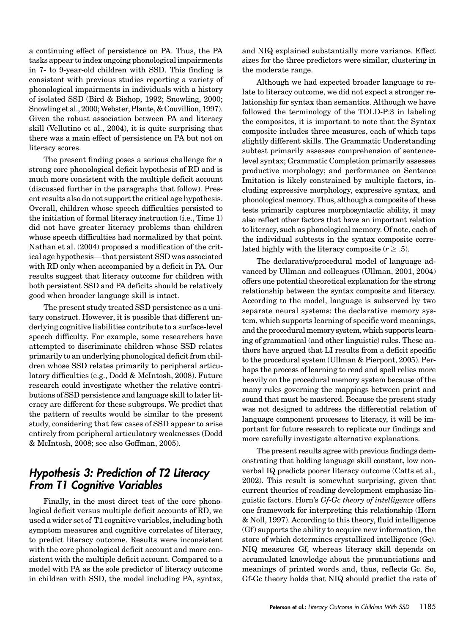a continuing effect of persistence on PA. Thus, the PA tasks appear to index ongoing phonological impairments in 7- to 9-year-old children with SSD. This finding is consistent with previous studies reporting a variety of phonological impairments in individuals with a history of isolated SSD (Bird & Bishop, 1992; Snowling, 2000; Snowling et al., 2000; Webster, Plante, & Couvillion, 1997). Given the robust association between PA and literacy skill (Vellutino et al., 2004), it is quite surprising that there was a main effect of persistence on PA but not on literacy scores.

The present finding poses a serious challenge for a strong core phonological deficit hypothesis of RD and is much more consistent with the multiple deficit account (discussed further in the paragraphs that follow). Present results also do not support the critical age hypothesis. Overall, children whose speech difficulties persisted to the initiation of formal literacy instruction (i.e., Time 1) did not have greater literacy problems than children whose speech difficulties had normalized by that point. Nathan et al. (2004) proposed a modification of the critical age hypothesis—that persistent SSD was associated with RD only when accompanied by a deficit in PA. Our results suggest that literacy outcome for children with both persistent SSD and PA deficits should be relatively good when broader language skill is intact.

The present study treated SSD persistence as a unitary construct. However, it is possible that different underlying cognitive liabilities contribute to a surface-level speech difficulty. For example, some researchers have attempted to discriminate children whose SSD relates primarily to an underlying phonological deficit from children whose SSD relates primarily to peripheral articulatory difficulties (e.g., Dodd & McIntosh, 2008). Future research could investigate whether the relative contributions of SSD persistence and language skill to later literacy are different for these subgroups. We predict that the pattern of results would be similar to the present study, considering that few cases of SSD appear to arise entirely from peripheral articulatory weaknesses (Dodd & McIntosh, 2008; see also Goffman, 2005).

# Hypothesis 3: Prediction of T2 Literacy From T1 Cognitive Variables

Finally, in the most direct test of the core phonological deficit versus multiple deficit accounts of RD, we used a wider set of T1 cognitive variables, including both symptom measures and cognitive correlates of literacy, to predict literacy outcome. Results were inconsistent with the core phonological deficit account and more consistent with the multiple deficit account. Compared to a model with PA as the sole predictor of literacy outcome in children with SSD, the model including PA, syntax, and NIQ explained substantially more variance. Effect sizes for the three predictors were similar, clustering in the moderate range.

Although we had expected broader language to relate to literacy outcome, we did not expect a stronger relationship for syntax than semantics. Although we have followed the terminology of the TOLD-P:3 in labeling the composites, it is important to note that the Syntax composite includes three measures, each of which taps slightly different skills. The Grammatic Understanding subtest primarily assesses comprehension of sentencelevel syntax; Grammatic Completion primarily assesses productive morphology; and performance on Sentence Imitation is likely constrained by multiple factors, including expressive morphology, expressive syntax, and phonological memory. Thus, although a composite of these tests primarily captures morphosyntactic ability, it may also reflect other factors that have an important relation to literacy, such as phonological memory. Of note, each of the individual subtests in the syntax composite correlated highly with the literacy composite ( $r \geq .5$ ).

The declarative/procedural model of language advanced by Ullman and colleagues (Ullman, 2001, 2004) offers one potential theoretical explanation for the strong relationship between the syntax composite and literacy. According to the model, language is subserved by two separate neural systems: the declarative memory system, which supports learning of specific word meanings, and the procedural memory system, which supports learning of grammatical (and other linguistic) rules. These authors have argued that LI results from a deficit specific to the procedural system (Ullman & Pierpont, 2005). Perhaps the process of learning to read and spell relies more heavily on the procedural memory system because of the many rules governing the mappings between print and sound that must be mastered. Because the present study was not designed to address the differential relation of language component processes to literacy, it will be important for future research to replicate our findings and more carefully investigate alternative explanations.

The present results agree with previous findings demonstrating that holding language skill constant, low nonverbal IQ predicts poorer literacy outcome (Catts et al., 2002). This result is somewhat surprising, given that current theories of reading development emphasize linguistic factors. Horn's Gf-Gc theory of intelligence offers one framework for interpreting this relationship (Horn & Noll, 1997). According to this theory, fluid intelligence  $(Gf)$  supports the ability to acquire new information, the store of which determines crystallized intelligence (Gc). NIQ measures Gf, whereas literacy skill depends on accumulated knowledge about the pronunciations and meanings of printed words and, thus, reflects Gc. So, Gf-Gc theory holds that NIQ should predict the rate of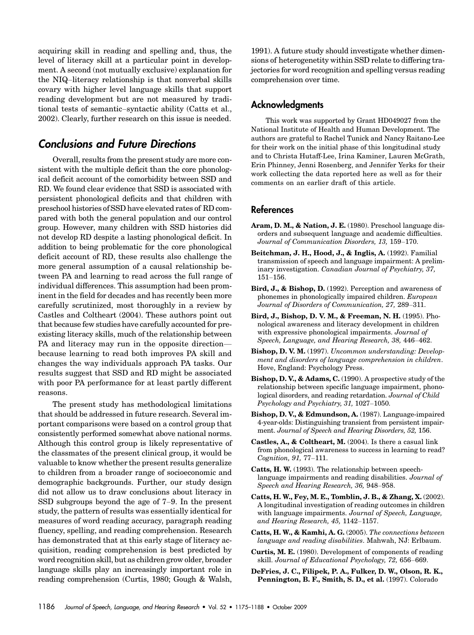acquiring skill in reading and spelling and, thus, the level of literacy skill at a particular point in development. A second (not mutually exclusive) explanation for the NIQ–literacy relationship is that nonverbal skills covary with higher level language skills that support reading development but are not measured by traditional tests of semantic–syntactic ability (Catts et al., 2002). Clearly, further research on this issue is needed.

### Conclusions and Future Directions

Overall, results from the present study are more consistent with the multiple deficit than the core phonological deficit account of the comorbidity between SSD and RD. We found clear evidence that SSD is associated with persistent phonological deficits and that children with preschool histories of SSD have elevated rates of RD compared with both the general population and our control group. However, many children with SSD histories did not develop RD despite a lasting phonological deficit. In addition to being problematic for the core phonological deficit account of RD, these results also challenge the more general assumption of a causal relationship between PA and learning to read across the full range of individual differences. This assumption had been prominent in the field for decades and has recently been more carefully scrutinized, most thoroughly in a review by Castles and Coltheart (2004). These authors point out that because few studies have carefully accounted for preexisting literacy skills, much of the relationship between PA and literacy may run in the opposite direction because learning to read both improves PA skill and changes the way individuals approach PA tasks. Our results suggest that SSD and RD might be associated with poor PA performance for at least partly different reasons.

The present study has methodological limitations that should be addressed in future research. Several important comparisons were based on a control group that consistently performed somewhat above national norms. Although this control group is likely representative of the classmates of the present clinical group, it would be valuable to know whether the present results generalize to children from a broader range of socioeconomic and demographic backgrounds. Further, our study design did not allow us to draw conclusions about literacy in SSD subgroups beyond the age of 7–9. In the present study, the pattern of results was essentially identical for measures of word reading accuracy, paragraph reading fluency, spelling, and reading comprehension. Research has demonstrated that at this early stage of literacy acquisition, reading comprehension is best predicted by word recognition skill, but as children grow older, broader language skills play an increasingly important role in reading comprehension (Curtis, 1980; Gough & Walsh,

1991). A future study should investigate whether dimensions of heterogenetity within SSD relate to differing trajectories for word recognition and spelling versus reading comprehension over time.

#### Acknowledgments

This work was supported by Grant HD049027 from the National Institute of Health and Human Development. The authors are grateful to Rachel Tunick and Nancy Raitano-Lee for their work on the initial phase of this longitudinal study and to Christa Hutaff-Lee, Irina Kaminer, Lauren McGrath, Erin Phinney, Jenni Rosenberg, and Jennifer Yerks for their work collecting the data reported here as well as for their comments on an earlier draft of this article.

#### References

- Aram, D. M., & Nation, J. E. (1980). Preschool language disorders and subsequent language and academic difficulties. Journal of Communication Disorders, 13, 159–170.
- Beitchman, J. H., Hood, J., & Inglis, A. (1992). Familial transmission of speech and language impairment: A preliminary investigation. Canadian Journal of Psychiatry, 37, 151–156.
- Bird, J., & Bishop, D. (1992). Perception and awareness of phonemes in phonologically impaired children. European Journal of Disorders of Communication, 27, 289–311.
- Bird, J., Bishop, D. V. M., & Freeman, N. H. (1995). Phonological awareness and literacy development in children with expressive phonological impairments. Journal of Speech, Language, and Hearing Research, 38, 446–462.
- Bishop, D. V. M. (1997). Uncommon understanding: Development and disorders of language comprehension in children. Hove, England: Psychology Press.
- Bishop, D. V., & Adams, C. (1990). A prospective study of the relationship between specific language impairment, phonological disorders, and reading retardation. Journal of Child Psychology and Psychiatry, 31, 1027–1050.
- Bishop, D. V., & Edmundson, A. (1987). Language-impaired 4-year-olds: Distinguishing transient from persistent impairment. Journal of Speech and Hearing Disorders, 52, 156.
- Castles, A., & Coltheart, M. (2004). Is there a casual link from phonological awareness to success in learning to read? Cognition, 91, 77–111.
- Catts, H. W. (1993). The relationship between speechlanguage impairments and reading disabilities. Journal of Speech and Hearing Research, 36, 948–958.
- Catts, H. W., Fey, M. E., Tomblin, J. B., & Zhang, X. (2002). A longitudinal investigation of reading outcomes in children with language impairments. Journal of Speech, Language, and Hearing Research, 45, 1142–1157.
- Catts, H. W., & Kamhi, A. G. (2005). The connections between language and reading disabilities. Mahwah, NJ: Erlbaum.
- Curtis, M. E. (1980). Development of components of reading skill. Journal of Educational Psychology, 72, 656–669.
- DeFries, J. C., Filipek, P. A., Fulker, D. W., Olson, R. K., Pennington, B. F., Smith, S. D., et al. (1997). Colorado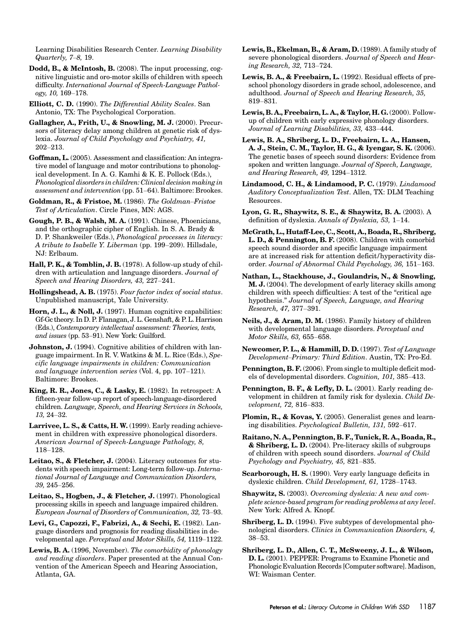Learning Disabilities Research Center. Learning Disability Quarterly, 7–8, 19.

Dodd, B., & McIntosh, B. (2008). The input processing, cognitive linguistic and oro-motor skills of children with speech difficulty. International Journal of Speech-Language Pathology, 10, 169–178.

Elliott, C. D. (1990). The Differential Ability Scales. San Antonio, TX: The Psychological Corporation.

Gallagher, A., Frith, U., & Snowling, M. J. (2000). Precursors of literacy delay among children at genetic risk of dyslexia. Journal of Child Psychology and Psychiatry, 41, 202–213.

Goffman, L. (2005). Assessment and classification: An integrative model of language and motor contributions to phonological development. In A. G. Kamhi & K. E. Pollock (Eds.), Phonological disorders in children: Clinical decision making in assessment and intervention (pp. 51–64). Baltimore: Brookes.

Goldman, R., & Fristoe, M. (1986). The Goldman–Fristoe Test of Articulation. Circle Pines, MN: AGS.

Gough, P. B., & Walsh, M. A. (1991). Chinese, Phoenicians, and the orthographic cipher of English. In S. A. Brady & D. P. Shankweiler (Eds.), Phonological processes in literacy: A tribute to Isabelle Y. Liberman (pp. 199–209). Hillsdale, NJ: Erlbaum.

Hall, P. K., & Tomblin, J. B. (1978). A follow-up study of children with articulation and language disorders. Journal of Speech and Hearing Disorders, 43, 227–241.

Hollingshead, A. B. (1975). Four factor index of social status. Unpublished manuscript, Yale University.

Horn, J. L., & Noll, J. (1997). Human cognitive capabilities: Gf-Gc theory. In D. P. Flanagan, J. L. Genshaft, & P. L. Harrison (Eds.), Contemporary intellectual assessment: Theories, tests, and issues (pp. 53–91). New York: Guilford.

Johnston, J. (1994). Cognitive abilities of children with language impairment. In R. V. Watkins & M. L. Rice (Eds.), Specific language impairments in children: Communication and language intervention series (Vol. 4, pp. 107–121). Baltimore: Brookes.

King, R. R., Jones, C., & Lasky, E. (1982). In retrospect: A fifteen-year follow-up report of speech-language-disordered children. Language, Speech, and Hearing Services in Schools, 13, 24–32.

Larrivee, L. S., & Catts, H. W. (1999). Early reading achievement in children with expressive phonological disorders. American Journal of Speech-Language Pathology, 8, 118–128.

Leitao, S., & Fletcher, J. (2004). Literacy outcomes for students with speech impairment: Long-term follow-up. International Journal of Language and Communication Disorders, 39, 245–256.

Leitao, S., Hogben, J., & Fletcher, J. (1997). Phonological processing skills in speech and language impaired children. European Journal of Disorders of Communication, 32, 73–93.

Levi, G., Capozzi, F., Fabrizi, A., & Sechi, E. (1982). Language disorders and prognosis for reading disabilities in developmental age. Perceptual and Motor Skills, 54, 1119–1122.

Lewis, B. A. (1996, November). The comorbidity of phonology and reading disorders. Paper presented at the Annual Convention of the American Speech and Hearing Association, Atlanta, GA.

Lewis, B., Ekelman, B., & Aram, D. (1989). A family study of severe phonological disorders. Journal of Speech and Hearing Research, 32, 713–724.

Lewis, B. A., & Freebairn, L. (1992). Residual effects of preschool phonology disorders in grade school, adolescence, and adulthood. Journal of Speech and Hearing Research, 35, 819–831.

Lewis, B. A., Freebairn, L. A., & Taylor, H. G. (2000). Followup of children with early expressive phonology disorders. Journal of Learning Disabilities, 33, 433–444.

Lewis, B. A., Shriberg, L. D., Freebairn, L. A., Hansen, A. J., Stein, C. M., Taylor, H. G., & Iyengar, S. K. (2006). The genetic bases of speech sound disorders: Evidence from spoken and written language. Journal of Speech, Language, and Hearing Research, 49, 1294–1312.

Lindamood, C. H., & Lindamood, P. C. (1979). Lindamood Auditory Conceptualization Test. Allen, TX: DLM Teaching Resources.

Lyon, G. R., Shaywitz, S. E., & Shaywitz, B. A. (2003). A definition of dyslexia. Annals of Dyslexia, 53, 1–14.

McGrath, L., Hutaff-Lee, C., Scott, A., Boada, R., Shriberg, L. D., & Pennington, B. F. (2008). Children with comorbid speech sound disorder and specific language impairment are at increased risk for attention deficit/hyperactivity disorder. Journal of Abnormal Child Psychology, 36, 151–163.

Nathan, L., Stackhouse, J., Goulandris, N., & Snowling, M. J. (2004). The development of early literacy skills among children with speech difficulties: A test of the "critical age hypothesis." Journal of Speech, Language, and Hearing Research, 47, 377–391.

Neils, J., & Aram, D. M. (1986). Family history of children with developmental language disorders. Perceptual and Motor Skills, 63, 655–658.

Newcomer, P. L., & Hammill, D. D. (1997). Test of Language Development–Primary: Third Edition. Austin, TX: Pro-Ed.

Pennington, B. F. (2006). From single to multiple deficit models of developmental disorders. Cognition, 101, 385–413.

Pennington, B. F., & Lefly, D. L. (2001). Early reading development in children at family risk for dyslexia. Child Development, 72, 816–833.

Plomin, R., & Kovas, Y. (2005). Generalist genes and learning disabilities. Psychological Bulletin, 131, 592–617.

Raitano, N. A., Pennington, B. F., Tunick, R. A., Boada, R., & Shriberg, L. D. (2004). Pre-literacy skills of subgroups of children with speech sound disorders. Journal of Child Psychology and Psychiatry, 45, 821–835.

Scarborough, H. S. (1990). Very early language deficits in dyslexic children. Child Development, 61, 1728–1743.

Shaywitz, S. (2003). Overcoming dyslexia: A new and complete science-based program for reading problems at any level. New York: Alfred A. Knopf.

Shriberg, L. D. (1994). Five subtypes of developmental phonological disorders. Clinics in Communication Disorders, 4, 38–53.

Shriberg, L. D., Allen, C. T., McSweeny, J. L., & Wilson, D. L. (2001). PEPPER: Programs to Examine Phonetic and Phonologic Evaluation Records [Computer software]. Madison, WI: Waisman Center.